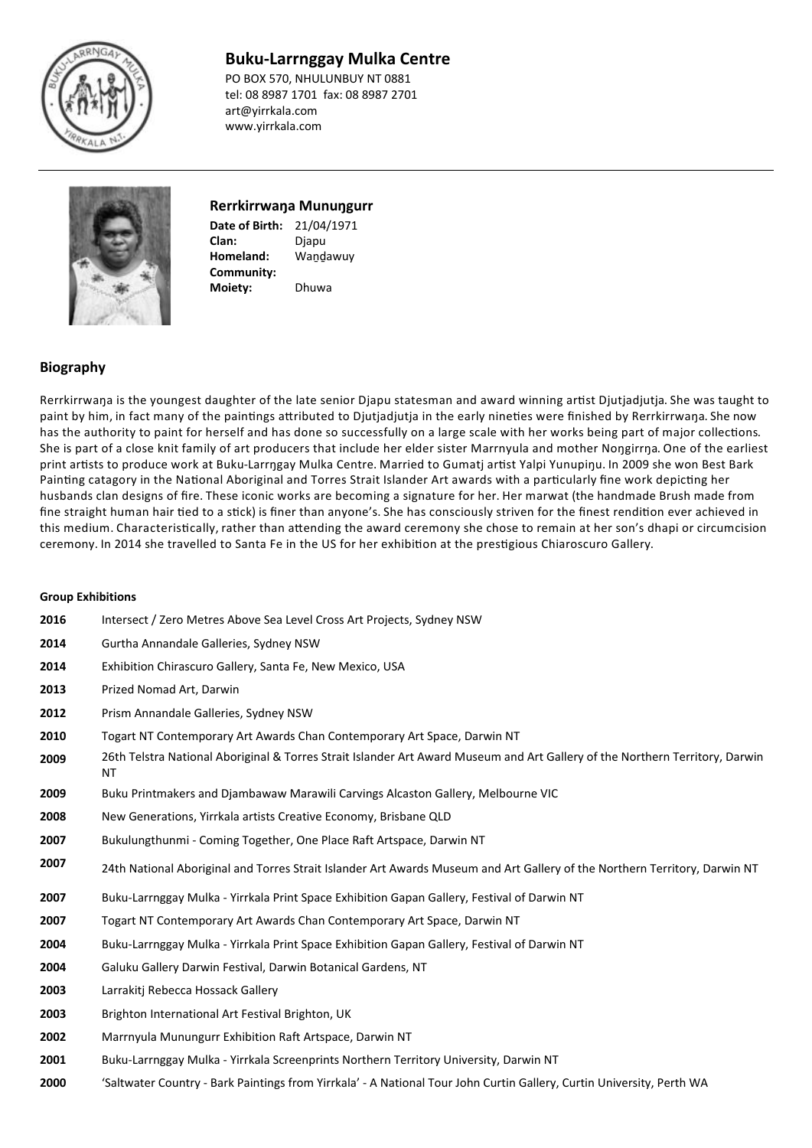

# **Buku-Larrnggay Mulka Centre**

PO BOX 570, NHULUNBUY NT 0881 tel: 08 8987 1701 fax: 08 8987 2701 art@yirrkala.com www.yirrkala.com



## **Rerrkirrwaŋa Munuŋgurr**

**Date of Birth:** 21/04/1971 **Homeland: Clan:** Wandawuy **Community:** Djapu **Moiety:** Dhuwa

## **Biography**

Rerrkirrwaŋa is the youngest daughter of the late senior Djapu statesman and award winning artist Djutjadjutja. She was taught to paint by him, in fact many of the paintings attributed to Djutjadjutja in the early nineties were finished by Rerrkirrwaŋa. She now has the authority to paint for herself and has done so successfully on a large scale with her works being part of major collections. She is part of a close knit family of art producers that include her elder sister Marrnyula and mother Nongirrna. One of the earliest print artists to produce work at Buku-Larrŋgay Mulka Centre. Married to Gumatj artist Yalpi Yunupiŋu. In 2009 she won Best Bark Painting catagory in the National Aboriginal and Torres Strait Islander Art awards with a particularly fine work depicting her husbands clan designs of fire. These iconic works are becoming a signature for her. Her marwat (the handmade Brush made from fine straight human hair tied to a stick) is finer than anyone's. She has consciously striven for the finest rendition ever achieved in this medium. Characteristically, rather than attending the award ceremony she chose to remain at her son's dhapi or circumcision ceremony. In 2014 she travelled to Santa Fe in the US for her exhibition at the prestigious Chiaroscuro Gallery.

### **Group Exhibitions**

| 2016 | Intersect / Zero Metres Above Sea Level Cross Art Projects, Sydney NSW                                                                    |
|------|-------------------------------------------------------------------------------------------------------------------------------------------|
| 2014 | Gurtha Annandale Galleries, Sydney NSW                                                                                                    |
| 2014 | Exhibition Chirascuro Gallery, Santa Fe, New Mexico, USA                                                                                  |
| 2013 | Prized Nomad Art, Darwin                                                                                                                  |
| 2012 | Prism Annandale Galleries, Sydney NSW                                                                                                     |
| 2010 | Togart NT Contemporary Art Awards Chan Contemporary Art Space, Darwin NT                                                                  |
| 2009 | 26th Telstra National Aboriginal & Torres Strait Islander Art Award Museum and Art Gallery of the Northern Territory, Darwin<br><b>NT</b> |
| 2009 | Buku Printmakers and Djambawaw Marawili Carvings Alcaston Gallery, Melbourne VIC                                                          |
| 2008 | New Generations, Yirrkala artists Creative Economy, Brisbane QLD                                                                          |
| 2007 | Bukulungthunmi - Coming Together, One Place Raft Artspace, Darwin NT                                                                      |
| 2007 | 24th National Aboriginal and Torres Strait Islander Art Awards Museum and Art Gallery of the Northern Territory, Darwin NT                |
| 2007 | Buku-Larrnggay Mulka - Yirrkala Print Space Exhibition Gapan Gallery, Festival of Darwin NT                                               |
| 2007 | Togart NT Contemporary Art Awards Chan Contemporary Art Space, Darwin NT                                                                  |
| 2004 | Buku-Larrnggay Mulka - Yirrkala Print Space Exhibition Gapan Gallery, Festival of Darwin NT                                               |
| 2004 | Galuku Gallery Darwin Festival, Darwin Botanical Gardens, NT                                                                              |
| 2003 | Larrakiti Rebecca Hossack Gallery                                                                                                         |
| 2003 | Brighton International Art Festival Brighton, UK                                                                                          |
| 2002 | Marrnyula Munungurr Exhibition Raft Artspace, Darwin NT                                                                                   |
| 2001 | Buku-Larrnggay Mulka - Yirrkala Screenprints Northern Territory University, Darwin NT                                                     |
| 2000 | 'Saltwater Country - Bark Paintings from Yirrkala' - A National Tour John Curtin Gallery, Curtin University, Perth WA                     |
|      |                                                                                                                                           |